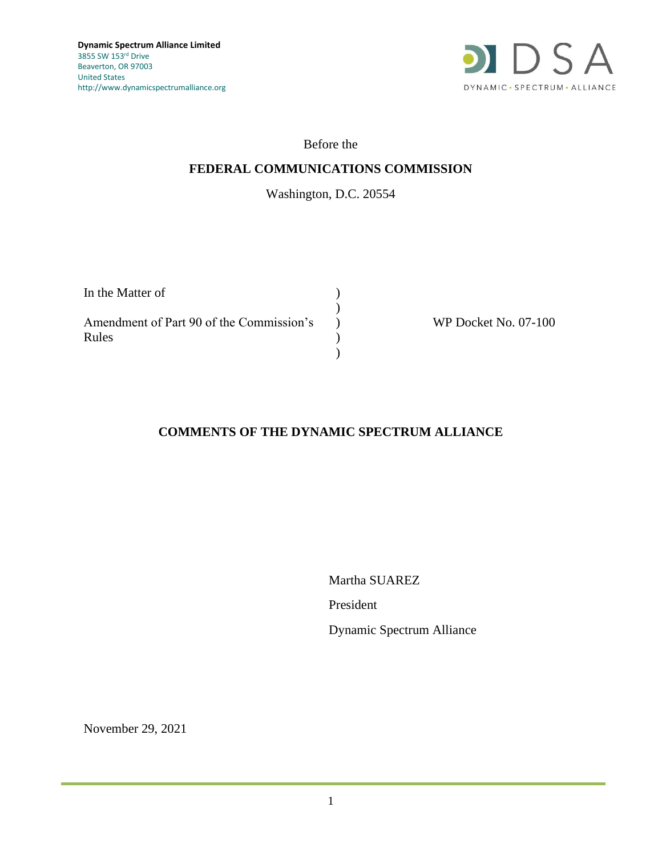

## Before the

## **FEDERAL COMMUNICATIONS COMMISSION**

# Washington, D.C. 20554

| In the Matter of                                  |  |
|---------------------------------------------------|--|
| Amendment of Part 90 of the Commission's<br>Rules |  |
|                                                   |  |

WP Docket No. 07-100

## **COMMENTS OF THE DYNAMIC SPECTRUM ALLIANCE**

Martha SUAREZ President

Dynamic Spectrum Alliance

November 29, 2021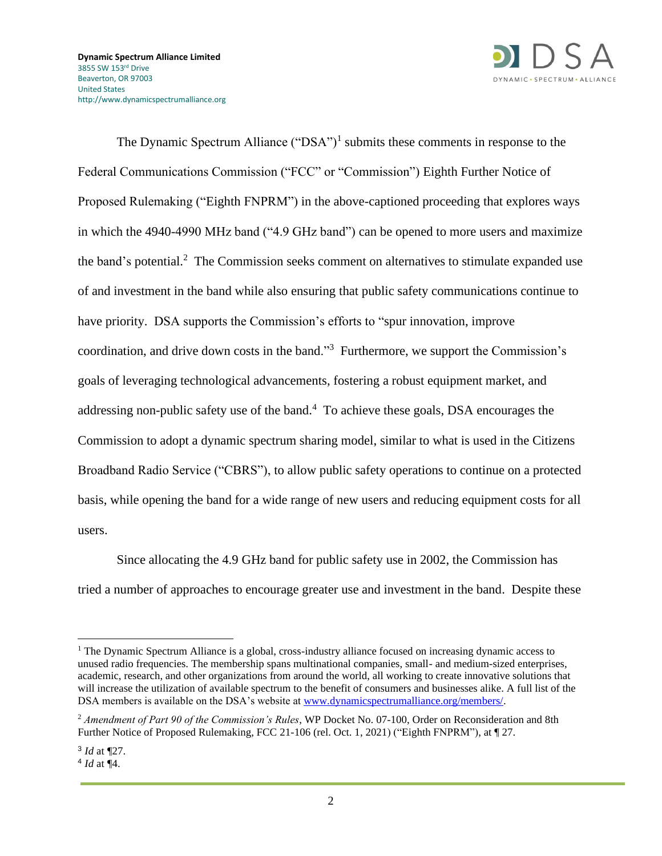

The Dynamic Spectrum Alliance  $("DSA")^1$  submits these comments in response to the Federal Communications Commission ("FCC" or "Commission") Eighth Further Notice of Proposed Rulemaking ("Eighth FNPRM") in the above-captioned proceeding that explores ways in which the 4940-4990 MHz band ("4.9 GHz band") can be opened to more users and maximize the band's potential.<sup>2</sup> The Commission seeks comment on alternatives to stimulate expanded use of and investment in the band while also ensuring that public safety communications continue to have priority. DSA supports the Commission's efforts to "spur innovation, improve coordination, and drive down costs in the band."<sup>3</sup> Furthermore, we support the Commission's goals of leveraging technological advancements, fostering a robust equipment market, and addressing non-public safety use of the band. $4$  To achieve these goals, DSA encourages the Commission to adopt a dynamic spectrum sharing model, similar to what is used in the Citizens Broadband Radio Service ("CBRS"), to allow public safety operations to continue on a protected basis, while opening the band for a wide range of new users and reducing equipment costs for all users.

Since allocating the 4.9 GHz band for public safety use in 2002, the Commission has tried a number of approaches to encourage greater use and investment in the band. Despite these

<sup>&</sup>lt;sup>1</sup> The Dynamic Spectrum Alliance is a global, cross-industry alliance focused on increasing dynamic access to unused radio frequencies. The membership spans multinational companies, small- and medium-sized enterprises, academic, research, and other organizations from around the world, all working to create innovative solutions that will increase the utilization of available spectrum to the benefit of consumers and businesses alike. A full list of the DSA members is available on the DSA's website at [www.dynamicspectrumalliance.org/members/.](http://www.dynamicspectrumalliance.org/members/)

<sup>2</sup> *Amendment of Part 90 of the Commission's Rules*, WP Docket No. 07-100, Order on Reconsideration and 8th Further Notice of Proposed Rulemaking, FCC 21-106 (rel. Oct. 1, 2021) ("Eighth FNPRM"), at ¶ 27.

<sup>3</sup> *Id* at ¶27.

<sup>4</sup> *Id* at ¶4.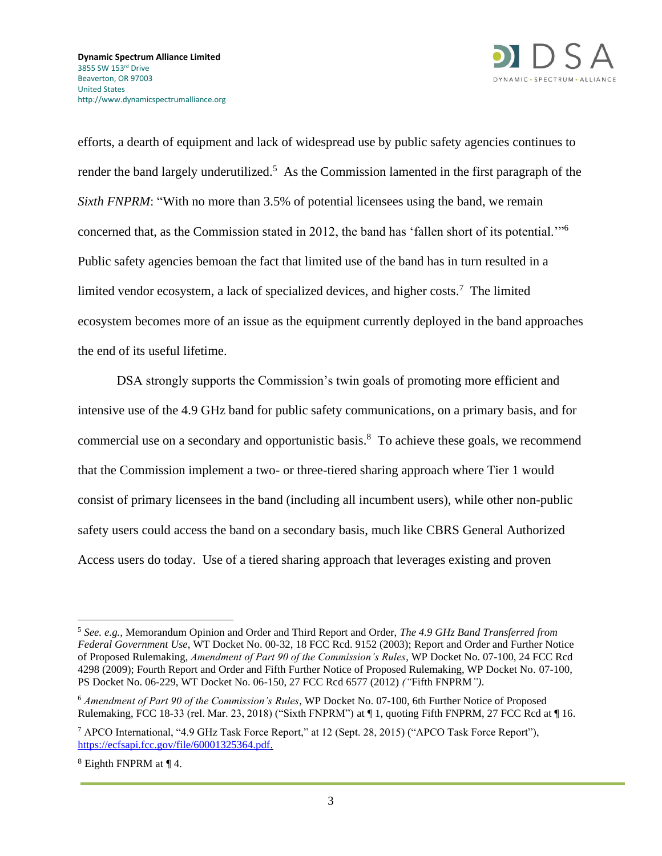

efforts, a dearth of equipment and lack of widespread use by public safety agencies continues to render the band largely underutilized.<sup>5</sup> As the Commission lamented in the first paragraph of the *Sixth FNPRM*: "With no more than 3.5% of potential licensees using the band, we remain concerned that, as the Commission stated in 2012, the band has 'fallen short of its potential.'"<sup>6</sup> Public safety agencies bemoan the fact that limited use of the band has in turn resulted in a limited vendor ecosystem, a lack of specialized devices, and higher costs. <sup>7</sup> The limited ecosystem becomes more of an issue as the equipment currently deployed in the band approaches the end of its useful lifetime.

DSA strongly supports the Commission's twin goals of promoting more efficient and intensive use of the 4.9 GHz band for public safety communications, on a primary basis, and for commercial use on a secondary and opportunistic basis. <sup>8</sup> To achieve these goals, we recommend that the Commission implement a two- or three-tiered sharing approach where Tier 1 would consist of primary licensees in the band (including all incumbent users), while other non-public safety users could access the band on a secondary basis, much like CBRS General Authorized Access users do today. Use of a tiered sharing approach that leverages existing and proven

<sup>5</sup> *See. e.g.,* Memorandum Opinion and Order and Third Report and Order, *The 4.9 GHz Band Transferred from Federal Government Use*, WT Docket No. 00-32, 18 FCC Rcd. 9152 (2003); Report and Order and Further Notice of Proposed Rulemaking, *Amendment of Part 90 of the Commission's Rules*, WP Docket No. 07-100, 24 FCC Rcd 4298 (2009); Fourth Report and Order and Fifth Further Notice of Proposed Rulemaking, WP Docket No. 07-100, PS Docket No. 06-229, WT Docket No. 06-150, 27 FCC Rcd 6577 (2012) *("*Fifth FNPRM*")*.

<sup>6</sup> *Amendment of Part 90 of the Commission's Rules*, WP Docket No. 07-100, 6th Further Notice of Proposed Rulemaking, FCC 18-33 (rel. Mar. 23, 2018) ("Sixth FNPRM") at ¶ 1, quoting Fifth FNPRM, 27 FCC Rcd at ¶ 16.

<sup>7</sup> APCO International, "4.9 GHz Task Force Report," at 12 (Sept. 28, 2015) ("APCO Task Force Report"), [https://ecfsapi.fcc.gov/file/60001325364.pdf.](https://ecfsapi.fcc.gov/file/60001325364.pdf)

<sup>8</sup> Eighth FNPRM at ¶ 4.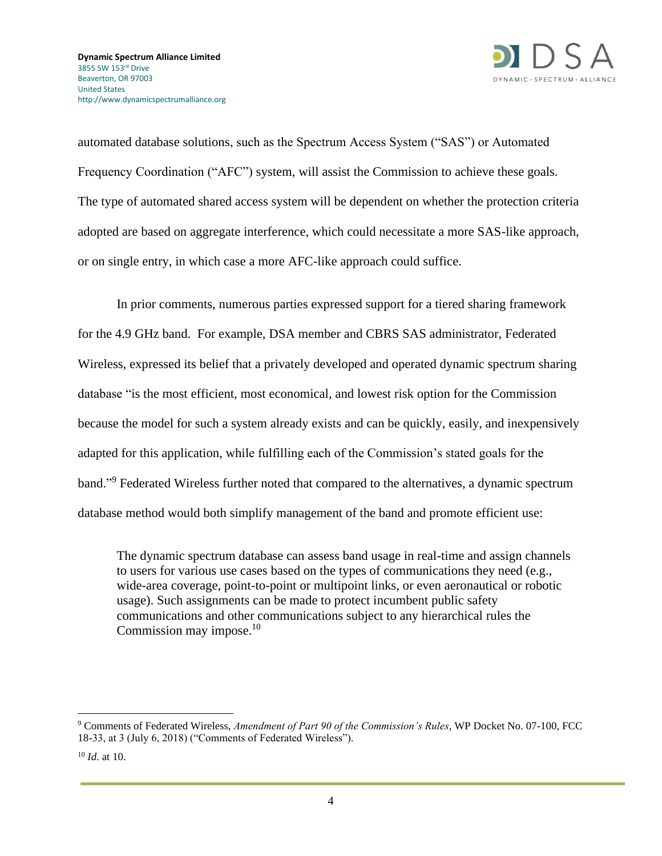

automated database solutions, such as the Spectrum Access System ("SAS") or Automated Frequency Coordination ("AFC") system, will assist the Commission to achieve these goals. The type of automated shared access system will be dependent on whether the protection criteria adopted are based on aggregate interference, which could necessitate a more SAS-like approach, or on single entry, in which case a more AFC-like approach could suffice.

In prior comments, numerous parties expressed support for a tiered sharing framework for the 4.9 GHz band. For example, DSA member and CBRS SAS administrator, Federated Wireless, expressed its belief that a privately developed and operated dynamic spectrum sharing database "is the most efficient, most economical, and lowest risk option for the Commission because the model for such a system already exists and can be quickly, easily, and inexpensively adapted for this application, while fulfilling each of the Commission's stated goals for the band."<sup>9</sup> Federated Wireless further noted that compared to the alternatives, a dynamic spectrum database method would both simplify management of the band and promote efficient use:

The dynamic spectrum database can assess band usage in real-time and assign channels to users for various use cases based on the types of communications they need (e.g., wide-area coverage, point-to-point or multipoint links, or even aeronautical or robotic usage). Such assignments can be made to protect incumbent public safety communications and other communications subject to any hierarchical rules the Commission may impose.<sup>10</sup>

<sup>9</sup> Comments of Federated Wireless, *Amendment of Part 90 of the Commission's Rules*, WP Docket No. 07-100, FCC 18-33, at 3 (July 6, 2018) ("Comments of Federated Wireless").

<sup>10</sup> *Id*. at 10.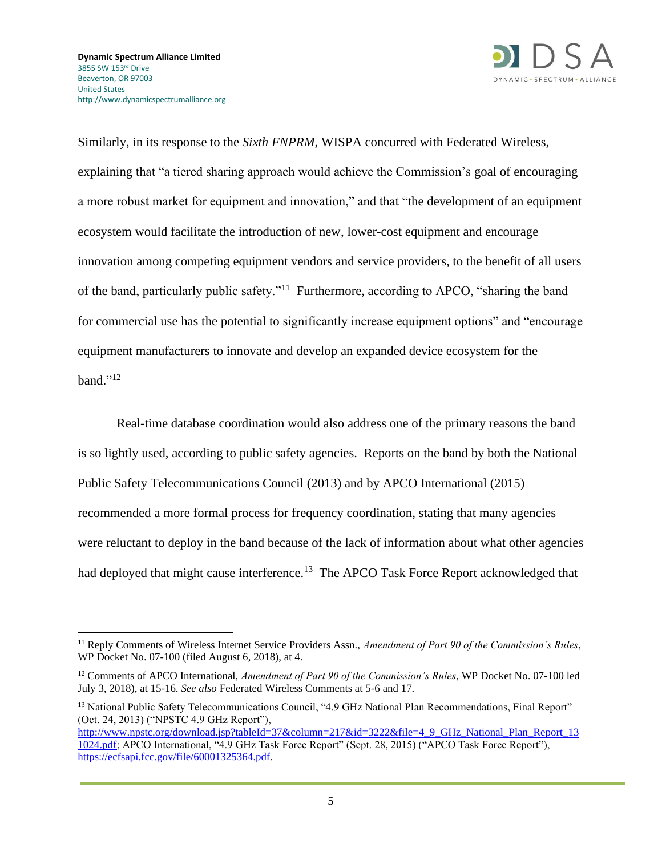

Similarly, in its response to the *Sixth FNPRM*, WISPA concurred with Federated Wireless, explaining that "a tiered sharing approach would achieve the Commission's goal of encouraging a more robust market for equipment and innovation," and that "the development of an equipment ecosystem would facilitate the introduction of new, lower-cost equipment and encourage innovation among competing equipment vendors and service providers, to the benefit of all users of the band, particularly public safety."<sup>11</sup> Furthermore, according to APCO, "sharing the band for commercial use has the potential to significantly increase equipment options" and "encourage equipment manufacturers to innovate and develop an expanded device ecosystem for the band." $^{12}$ 

Real-time database coordination would also address one of the primary reasons the band is so lightly used, according to public safety agencies. Reports on the band by both the National Public Safety Telecommunications Council (2013) and by APCO International (2015) recommended a more formal process for frequency coordination, stating that many agencies were reluctant to deploy in the band because of the lack of information about what other agencies had deployed that might cause interference.<sup>13</sup> The APCO Task Force Report acknowledged that

<sup>11</sup> Reply Comments of Wireless Internet Service Providers Assn., *Amendment of Part 90 of the Commission's Rules*, WP Docket No. 07-100 (filed August 6, 2018), at 4.

<sup>12</sup> Comments of APCO International, *Amendment of Part 90 of the Commission's Rules*, WP Docket No. 07-100 led July 3, 2018), at 15-16. *See also* Federated Wireless Comments at 5-6 and 17.

<sup>&</sup>lt;sup>13</sup> National Public Safety Telecommunications Council, "4.9 GHz National Plan Recommendations, Final Report" (Oct. 24, 2013) ("NPSTC 4.9 GHz Report"),

[http://www.npstc.org/download.jsp?tableId=37&column=217&id=3222&file=4\\_9\\_GHz\\_National\\_Plan\\_Report\\_13](http://www.npstc.org/download.jsp?tableId=37&column=217&id=3222&file=4_9_GHz_National_Plan_Report_131024.pdf)\_ [1024.pdf;](http://www.npstc.org/download.jsp?tableId=37&column=217&id=3222&file=4_9_GHz_National_Plan_Report_131024.pdf) APCO International, "4.9 GHz Task Force Report" (Sept. 28, 2015) ("APCO Task Force Report"), [https://ecfsapi.fcc.gov/file/60001325364.pdf.](https://ecfsapi.fcc.gov/file/60001325364.pdf)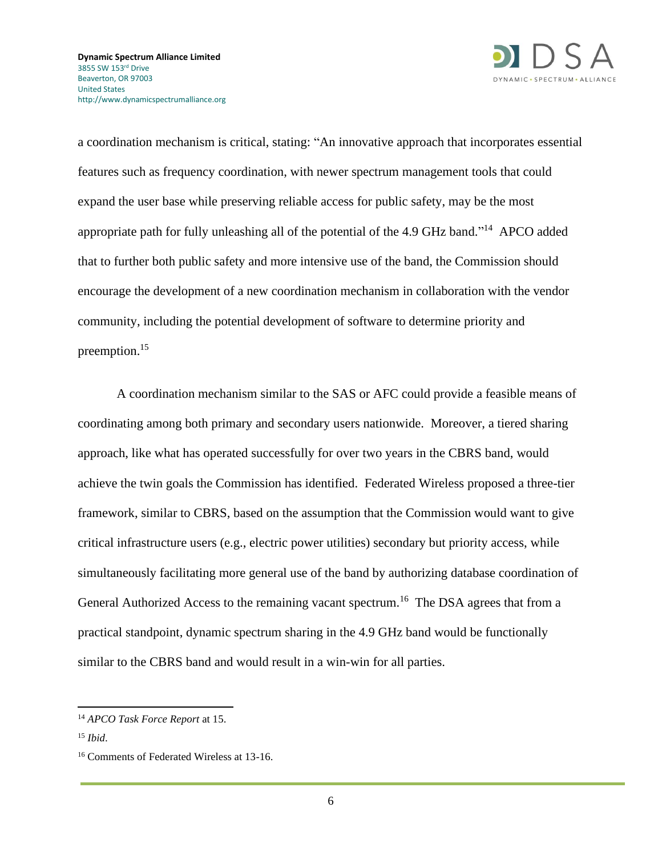

a coordination mechanism is critical, stating: "An innovative approach that incorporates essential features such as frequency coordination, with newer spectrum management tools that could expand the user base while preserving reliable access for public safety, may be the most appropriate path for fully unleashing all of the potential of the 4.9 GHz band."<sup>14</sup> APCO added that to further both public safety and more intensive use of the band, the Commission should encourage the development of a new coordination mechanism in collaboration with the vendor community, including the potential development of software to determine priority and preemption. 15

A coordination mechanism similar to the SAS or AFC could provide a feasible means of coordinating among both primary and secondary users nationwide. Moreover, a tiered sharing approach, like what has operated successfully for over two years in the CBRS band, would achieve the twin goals the Commission has identified. Federated Wireless proposed a three-tier framework, similar to CBRS, based on the assumption that the Commission would want to give critical infrastructure users (e.g., electric power utilities) secondary but priority access, while simultaneously facilitating more general use of the band by authorizing database coordination of General Authorized Access to the remaining vacant spectrum.<sup>16</sup> The DSA agrees that from a practical standpoint, dynamic spectrum sharing in the 4.9 GHz band would be functionally similar to the CBRS band and would result in a win-win for all parties.

<sup>14</sup> *APCO Task Force Report* at 15.

<sup>15</sup> *Ibid*.

<sup>&</sup>lt;sup>16</sup> Comments of Federated Wireless at 13-16.